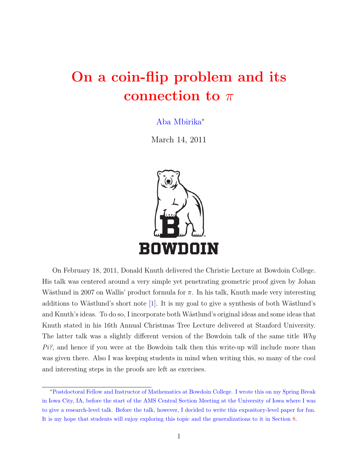# On a coin-flip problem and its connection to  $\pi$

Aba Mbirika<sup>∗</sup>

March 14, 2011



On February 18, 2011, Donald Knuth delivered the Christie Lecture at Bowdoin College. His talk was centered around a very simple yet penetrating geometric proof given by Johan Wästlund in 2007 on Wallis' product formula for  $\pi$ . In his talk, Knuth made very interesting additions to Wästlund's short note  $[1]$ . It is my goal to give a synthesis of both Wästlund's and Knuth's ideas. To do so, I incorporate both Wästlund's original ideas and some ideas that Knuth stated in his 16th Annual Christmas Tree Lecture delivered at Stanford University. The latter talk was a slightly different version of the Bowdoin talk of the same title Why  $Pi^2$ , and hence if you were at the Bowdoin talk then this write-up will include more than was given there. Also I was keeping students in mind when writing this, so many of the cool and interesting steps in the proofs are left as exercises.

<sup>∗</sup>Postdoctoral Fellow and Instructor of Mathematics at Bowdoin College. I wrote this on my Spring Break in Iowa City, IA, before the start of the AMS Central Section Meeting at the University of Iowa where I was to give a research-level talk. Before the talk, however, I decided to write this expository-level paper for fun. It is my hope that students will enjoy exploring this topic and the generalizations to it in Section [8.](#page-9-0)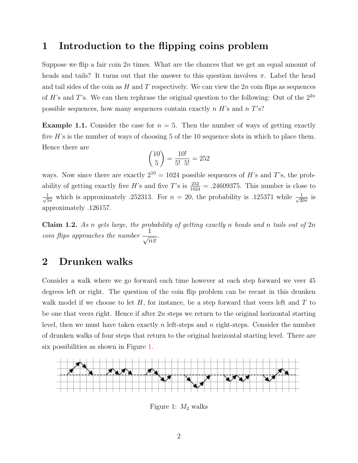#### 1 Introduction to the flipping coins problem

Suppose we flip a fair coin  $2n$  times. What are the chances that we get an equal amount of heads and tails? It turns out that the answer to this question involves  $\pi$ . Label the head and tail sides of the coin as  $H$  and  $T$  respectively. We can view the  $2n$  coin flips as sequences of H's and T's. We can then rephrase the original question to the following: Out of the  $2^{2n}$ possible sequences, how many sequences contain exactly  $n H$ 's and  $n T$ 's?

**Example 1.1.** Consider the case for  $n = 5$ . Then the number of ways of getting exactly five  $H$ 's is the number of ways of choosing 5 of the 10 sequence slots in which to place them. Hence there are

$$
\binom{10}{5} = \frac{10!}{5! \cdot 5!} = 252
$$

ways. Now since there are exactly  $2^{10} = 1024$  possible sequences of H's and T's, the probability of getting exactly five H's and five T's is  $\frac{252}{1024} = .24609375$ . This number is close to  $\frac{1}{\sqrt{2}}$  $\frac{1}{5\pi}$  which is approximately .252313. For  $n = 20$ , the probability is .125371 while  $\frac{1}{\sqrt{20}}$  $rac{1}{20\pi}$  is approximately .126157.

<span id="page-1-1"></span>**Claim 1.2.** As n gets large, the probability of getting exactly n heads and n tails out of  $2n$ coin flips approaches the number  $\frac{1}{\sqrt{2}}$  $\overline{n\pi}$ .

#### 2 Drunken walks

Consider a walk where we go forward each time however at each step forward we veer 45 degrees left or right. The question of the coin flip problem can be recast in this drunken walk model if we choose to let  $H$ , for instance, be a step forward that veers left and  $T$  to be one that veers right. Hence if after  $2n$  steps we return to the original horizontal starting level, then we must have taken exactly n left-steps and n right-steps. Consider the number of drunken walks of four steps that return to the original horizontal starting level. There are six possibilities as shown in Figure [1.](#page-1-0)



<span id="page-1-0"></span>Figure 1:  $M_2$  walks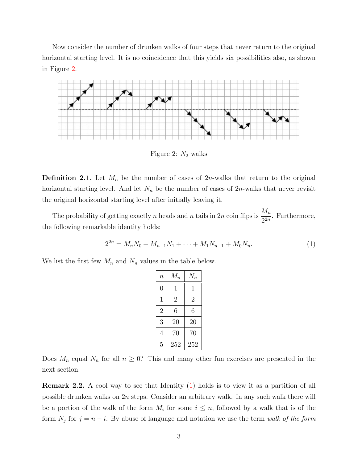Now consider the number of drunken walks of four steps that never return to the original horizontal starting level. It is no coincidence that this yields six possibilities also, as shown in Figure [2.](#page-2-0)



<span id="page-2-0"></span>Figure 2:  $N_2$  walks

**Definition 2.1.** Let  $M_n$  be the number of cases of 2n-walks that return to the original horizontal starting level. And let  $N_n$  be the number of cases of 2n-walks that never revisit the original horizontal starting level after initially leaving it.

The probability of getting exactly n heads and n tails in 2n coin flips is  $\frac{M_n}{2}$  $\frac{n n}{2^{2n}}$ . Furthermore, the following remarkable identity holds:

$$
2^{2n} = M_n N_0 + M_{n-1} N_1 + \dots + M_1 N_{n-1} + M_0 N_n.
$$
\n(1)

We list the first few  $M_n$  and  $N_n$  values in the table below.

<span id="page-2-1"></span>

| $\boldsymbol{n}$ | $M_n$          | $N_n$        |
|------------------|----------------|--------------|
| $\overline{0}$   | 1              | $\mathbf{1}$ |
| $\mathbf 1$      | $\overline{2}$ | 2            |
| $\overline{2}$   | 6              | 6            |
| 3                | 20             | 20           |
| 4                | 70             | 70           |
| 5                | 252            | 252          |

Does  $M_n$  equal  $N_n$  for all  $n \geq 0$ ? This and many other fun exercises are presented in the next section.

Remark 2.2. A cool way to see that Identity [\(1\)](#page-2-1) holds is to view it as a partition of all possible drunken walks on 2n steps. Consider an arbitrary walk. In any such walk there will be a portion of the walk of the form  $M_i$  for some  $i \leq n$ , followed by a walk that is of the form  $N_j$  for  $j = n - i$ . By abuse of language and notation we use the term walk of the form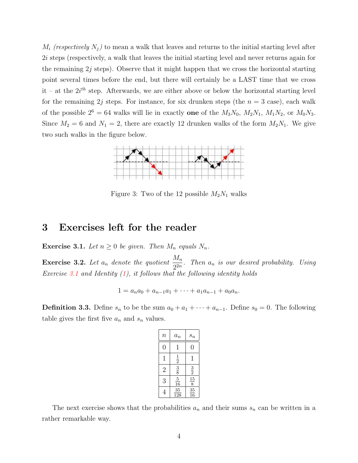$M_i$  (respectively  $N_j$ ) to mean a walk that leaves and returns to the initial starting level after 2i steps (respectively, a walk that leaves the initial starting level and never returns again for the remaining  $2j$  steps). Observe that it might happen that we cross the horizontal starting point several times before the end, but there will certainly be a LAST time that we cross it – at the  $2i^{th}$  step. Afterwards, we are either above or below the horizontal starting level for the remaining 2j steps. For instance, for six drunken steps (the  $n = 3$  case), each walk of the possible  $2^6 = 64$  walks will lie in exactly one of the  $M_3N_0$ ,  $M_2N_1$ ,  $M_1N_2$ , or  $M_0N_3$ . Since  $M_2 = 6$  and  $N_1 = 2$ , there are exactly 12 drunken walks of the form  $M_2N_1$ . We give two such walks in the figure below.



Figure 3: Two of the 12 possible  $M_2N_1$  walks

# 3 Exercises left for the reader

<span id="page-3-0"></span>**Exercise 3.1.** Let  $n \geq 0$  be given. Then  $M_n$  equals  $N_n$ .

<span id="page-3-1"></span>**Exercise 3.2.** Let  $a_n$  denote the quotient  $\frac{M_n}{2^{2n}}$ . Then  $a_n$  is our desired probability. Using Exercise [3.1](#page-3-0) and Identity  $(1)$ , it follows that the following identity holds

$$
1 = a_n a_0 + a_{n-1} a_1 + \dots + a_1 a_{n-1} + a_0 a_n.
$$

**Definition 3.3.** Define  $s_n$  to be the sum  $a_0 + a_1 + \cdots + a_{n-1}$ . Define  $s_0 = 0$ . The following table gives the first five  $a_n$  and  $s_n$  values.

| $\it n$        | $a_n$                | $s_n$                            |
|----------------|----------------------|----------------------------------|
| 0              | 1                    | 0                                |
| 1              | $\frac{1}{2}$        | 1                                |
| $\overline{2}$ | $\frac{3}{8}$        | $\frac{3}{2}$                    |
| 3              | $\overline{5}$<br>16 | $\frac{15}{5}$<br>$\overline{8}$ |
| 4              | 35<br>128            | $\frac{35}{2}$<br>16             |

The next exercise shows that the probabilities  $a_n$  and their sums  $s_n$  can be written in a rather remarkable way.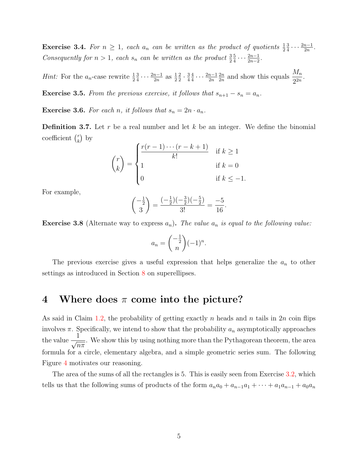<span id="page-4-1"></span>**Exercise 3.4.** For  $n \geq 1$ , each  $a_n$  can be written as the product of quotients  $\frac{1}{2}$ 3  $\frac{3}{4} \cdots \frac{2n-1}{2n}$  $\frac{n-1}{2n}$ . Consequently for  $n > 1$ , each  $s_n$  can be written as the product  $\frac{3}{2}$ 5  $\frac{5}{4} \cdots \frac{2n-1}{2n-2}$  $\frac{2n-1}{2n-2}$ .

*Hint:* For the  $a_n$ -case rewrite  $\frac{1}{2}$ 3  $\frac{3}{4} \cdots \frac{2n-1}{2n}$  $rac{n-1}{2n}$  as  $rac{1}{2}$ 2  $rac{2}{2} \cdot \frac{3}{4}$ 4 4  $\frac{4}{4} \cdots \frac{2n-1}{2n}$  $_{2n}$  $_{2n}$  $\frac{2n}{2n}$  and show this equals  $\frac{M_n}{2^{2n}}$  $\frac{n^2n}{2^{2n}}$ 

**Exercise 3.5.** From the previous exercise, it follows that  $s_{n+1} - s_n = a_n$ .

<span id="page-4-0"></span>**Exercise 3.6.** For each n, it follows that  $s_n = 2n \cdot a_n$ .

**Definition 3.7.** Let r be a real number and let k be an integer. We define the binomial coefficient  $\binom{r}{k}$  $\binom{r}{k}$  by

$$
\binom{r}{k} = \begin{cases} \frac{r(r-1)\cdots(r-k+1)}{k!} & \text{if } k \ge 1\\ 1 & \text{if } k = 0\\ 0 & \text{if } k \le -1. \end{cases}
$$

For example,

$$
\binom{-\frac{1}{2}}{3} = \frac{(-\frac{1}{2})(-\frac{3}{2})(-\frac{5}{2})}{3!} = \frac{-5}{16}.
$$

<span id="page-4-2"></span>**Exercise 3.8** (Alternate way to express  $a_n$ ). The value  $a_n$  is equal to the following value:

$$
a_n = \binom{-\frac{1}{2}}{n}(-1)^n.
$$

The previous exercise gives a useful expression that helps generalize the  $a_n$  to other settings as introduced in Section [8](#page-9-0) on superellipses.

#### 4 Where does  $\pi$  come into the picture?

As said in Claim [1.2,](#page-1-1) the probability of getting exactly n heads and n tails in  $2n$  coin flips involves  $\pi$ . Specifically, we intend to show that the probability  $a_n$  asymptotically approaches the value  $\frac{1}{\sqrt{2}}$  $\overline{n\pi}$ . We show this by using nothing more than the Pythagorean theorem, the area formula for a circle, elementary algebra, and a simple geometric series sum. The following Figure [4](#page-5-0) motivates our reasoning.

The area of the sums of all the rectangles is 5. This is easily seen from Exercise [3.2,](#page-3-1) which tells us that the following sums of products of the form  $a_na_0 + a_{n-1}a_1 + \cdots + a_1a_{n-1} + a_0a_n$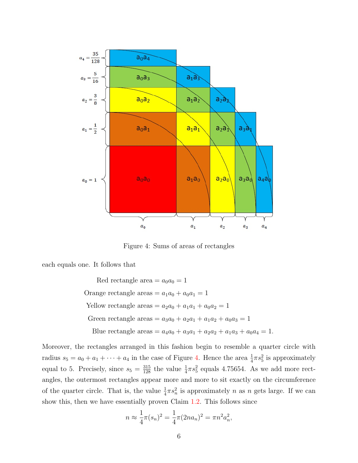

<span id="page-5-0"></span>Figure 4: Sums of areas of rectangles

each equals one. It follows that

Red rectangle area  $= a_0 a_0 = 1$ Orange rectangle areas  $= a_1a_0 + a_0a_1 = 1$ Yellow rectangle areas =  $a_2a_0 + a_1a_1 + a_0a_2 = 1$ Green rectangle areas =  $a_3a_0 + a_2a_1 + a_1a_2 + a_0a_3 = 1$ Blue rectangle areas =  $a_4a_0 + a_3a_1 + a_2a_2 + a_1a_3 + a_0a_4 = 1$ .

Moreover, the rectangles arranged in this fashion begin to resemble a quarter circle with radius  $s_5 = a_0 + a_1 + \cdots + a_4$  in the case of Figure [4.](#page-5-0) Hence the area  $\frac{1}{4}\pi s_5^2$  is approximately equal to 5. Precisely, since  $s_5 = \frac{315}{128}$  the value  $\frac{1}{4}\pi s_5^2$  equals 4.75654. As we add more rectangles, the outermost rectangles appear more and more to sit exactly on the circumference of the quarter circle. That is, the value  $\frac{1}{4}\pi s_n^2$  is approximately n as n gets large. If we can show this, then we have essentially proven Claim [1.2.](#page-1-1) This follows since

$$
n \approx \frac{1}{4}\pi(s_n)^2 = \frac{1}{4}\pi(2na_n)^2 = \pi n^2 a_n^2,
$$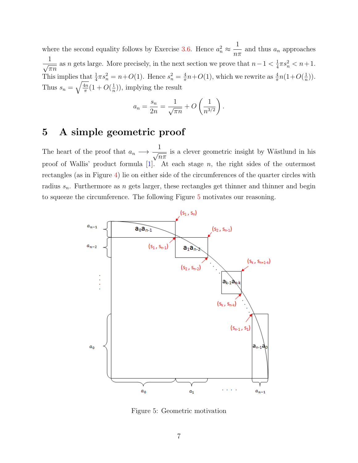where the second equality follows by Exercise [3.6.](#page-4-0) Hence  $a_n^2 \approx \frac{1}{n^2}$  $\frac{1}{n\pi}$  and thus  $a_n$  approaches  $\frac{1}{\sqrt{1}}$  $\overline{\pi n}$ as n gets large. More precisely, in the next section we prove that  $n-1 < \frac{1}{4}$  $\frac{1}{4}\pi s_n^2 < n+1.$ This implies that  $\frac{1}{4}\pi s_n^2 = n+O(1)$ . Hence  $s_n^2 = \frac{4}{\pi}$  $\frac{4}{\pi}n+O(1)$ , which we rewrite as  $\frac{4}{\pi}n(1+O(\frac{1}{n}))$  $\frac{1}{n})$ ). Thus  $s_n = \sqrt{\frac{4n}{\pi}}$  $\frac{4n}{\pi}(1+O(\frac{1}{n}))$  $(\frac{1}{n})$ , implying the result

$$
a_n = \frac{s_n}{2n} = \frac{1}{\sqrt{\pi n}} + O\left(\frac{1}{n^{3/2}}\right).
$$

# 5 A simple geometric proof

The heart of the proof that  $a_n \longrightarrow \frac{1}{\sqrt{n}}$  $\overline{n\pi}$ is a clever geometric insight by Wästlund in his proof of Wallis' product formula  $[1]$ . At each stage n, the right sides of the outermost rectangles (as in Figure [4\)](#page-5-0) lie on either side of the circumferences of the quarter circles with radius  $s_n$ . Furthermore as n gets larger, these rectangles get thinner and thinner and begin to squeeze the circumference. The following Figure [5](#page-6-0) motivates our reasoning.



<span id="page-6-0"></span>Figure 5: Geometric motivation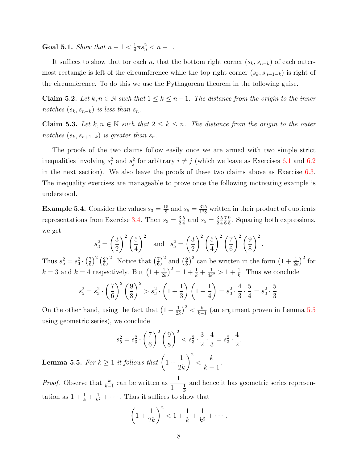**Goal 5.1.** Show that  $n-1 < \frac{1}{4}$  $\frac{1}{4}\pi s_n^2 < n+1.$ 

It suffices to show that for each n, that the bottom right corner  $(s_k, s_{n-k})$  of each outermost rectangle is left of the circumference while the top right corner  $(s_k, s_{n+1-k})$  is right of the circumference. To do this we use the Pythagorean theorem in the following guise.

<span id="page-7-1"></span>Claim 5.2. Let  $k, n \in \mathbb{N}$  such that  $1 \leq k \leq n-1$ . The distance from the origin to the inner notches  $(s_k, s_{n-k})$  is less than  $s_n$ .

<span id="page-7-2"></span>Claim 5.3. Let  $k, n \in \mathbb{N}$  such that  $2 \leq k \leq n$ . The distance from the origin to the outer notches  $(s_k, s_{n+1-k})$  is greater than  $s_n$ .

The proofs of the two claims follow easily once we are armed with two simple strict inequalities involving  $s_i^2$  and  $s_j^2$  for arbitrary  $i \neq j$  (which we leave as Exercises [6.1](#page-9-1) and [6.2](#page-9-2) in the next section). We also leave the proofs of these two claims above as Exercise [6.3.](#page-9-3) The inequality exercises are manageable to prove once the following motivating example is understood.

**Example 5.4.** Consider the values  $s_3 = \frac{15}{8}$  $\frac{15}{8}$  and  $s_5 = \frac{315}{128}$  written in their product of quotients representations from Exercise [3.4.](#page-4-1) Then  $s_3 = \frac{3}{2}$ 2 5  $\frac{5}{4}$  and  $s_5 = \frac{3}{2}$ 2 5 4 7 6 9  $\frac{9}{8}$ . Squaring both expressions, we get

$$
s_3^2 = \left(\frac{3}{2}\right)^2 \left(\frac{5}{4}\right)^2 \quad \text{and} \quad s_5^2 = \left(\frac{3}{2}\right)^2 \left(\frac{5}{4}\right)^2 \left(\frac{7}{6}\right)^2 \left(\frac{9}{8}\right)^2.
$$

Thus  $s_5^2 = s_3^2 \cdot \left(\frac{7}{6}\right)$  $\left(\frac{7}{6}\right)^2\left(\frac{9}{8}\right)$  $\left(\frac{9}{8}\right)^2$ . Notice that  $\left(\frac{7}{6}\right)$  $(\frac{7}{6})^2$  and  $(\frac{9}{8})$  $(\frac{9}{8})^2$  can be written in the form  $(1 + \frac{1}{2k})^2$  for  $k = 3$  and  $k = 4$  respectively. But  $\left(1 + \frac{1}{2k}\right)^2 = 1 + \frac{1}{k} + \frac{1}{4k}$  $\frac{1}{4k^2} > 1 + \frac{1}{k}$ . Thus we conclude

$$
s_5^2 = s_3^2 \cdot \left(\frac{7}{6}\right)^2 \left(\frac{9}{8}\right)^2 > s_3^2 \cdot \left(1 + \frac{1}{3}\right) \left(1 + \frac{1}{4}\right) = s_3^2 \cdot \frac{4}{3} \cdot \frac{5}{4} = s_3^2 \cdot \frac{5}{3}
$$

.

On the other hand, using the fact that  $\left(1 + \frac{1}{2k}\right)^2 < \frac{k}{k-1}$  $\frac{k}{k-1}$  (an argument proven in Lemma [5.5](#page-7-0) using geometric series), we conclude

$$
s_5^2 = s_3^2 \cdot \left(\frac{7}{6}\right)^2 \left(\frac{9}{8}\right)^2 < s_3^2 \cdot \frac{3}{2} \cdot \frac{4}{3} = s_3^2 \cdot \frac{4}{2}.
$$

<span id="page-7-0"></span>**Lemma 5.5.** For  $k \geq 1$  it follows that  $\left(1 + \frac{1}{k}\right)$ 1  $2k$  $\setminus^2$  $\lt$ k  $k-1$ .

*Proof.* Observe that  $\frac{k}{k-1}$  can be written as  $\frac{1}{1}$  $1-\frac{1}{k}$ k and hence it has geometric series representation as  $1 + \frac{1}{k} + \frac{1}{k^2}$  $\frac{1}{k^2} + \cdots$ . Thus it suffices to show that

$$
\left(1 + \frac{1}{2k}\right)^2 < 1 + \frac{1}{k} + \frac{1}{k^2} + \dots
$$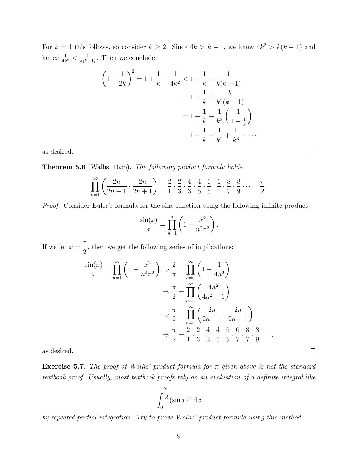For  $k = 1$  this follows, so consider  $k \geq 2$ . Since  $4k > k - 1$ , we know  $4k^2 > k(k - 1)$  and hence  $\frac{1}{4k^2} < \frac{1}{k(k-1)}$ . Then we conclude

$$
\left(1 + \frac{1}{2k}\right)^2 = 1 + \frac{1}{k} + \frac{1}{4k^2} < 1 + \frac{1}{k} + \frac{1}{k(k-1)}
$$

$$
= 1 + \frac{1}{k} + \frac{k}{k^2(k-1)}
$$

$$
= 1 + \frac{1}{k} + \frac{1}{k^2} \left(\frac{1}{1 - \frac{1}{k}}\right)
$$

$$
= 1 + \frac{1}{k} + \frac{1}{k^2} + \frac{1}{k^3} + \dots
$$

as desired.

Theorem 5.6 (Wallis, 1655). The following product formula holds:

$$
\prod_{n=1}^{\infty} \left( \frac{2n}{2n-1} \cdot \frac{2n}{2n+1} \right) = \frac{2}{1} \cdot \frac{2}{3} \cdot \frac{4}{3} \cdot \frac{4}{5} \cdot \frac{6}{5} \cdot \frac{6}{7} \cdot \frac{8}{7} \cdot \frac{8}{9} \cdots = \frac{\pi}{2}.
$$

Proof. Consider Euler's formula for the sine function using the following infinite product:

$$
\frac{\sin(x)}{x} = \prod_{n=1}^{\infty} \left( 1 - \frac{x^2}{n^2 \pi^2} \right).
$$

If we let  $x =$ π 2 , then we get the following series of implications:

$$
\frac{\sin(x)}{x} = \prod_{n=1}^{\infty} \left( 1 - \frac{x^2}{n^2 \pi^2} \right) \Rightarrow \frac{2}{\pi} = \prod_{n=1}^{\infty} \left( 1 - \frac{1}{4n^2} \right)
$$

$$
\Rightarrow \frac{\pi}{2} = \prod_{n=1}^{\infty} \left( \frac{4n^2}{4n^2 - 1} \right)
$$

$$
\Rightarrow \frac{\pi}{2} = \prod_{n=1}^{\infty} \left( \frac{2n}{2n - 1} \cdot \frac{2n}{2n + 1} \right)
$$

$$
\Rightarrow \frac{\pi}{2} = \frac{2}{1} \cdot \frac{2}{3} \cdot \frac{4}{3} \cdot \frac{4}{5} \cdot \frac{6}{5} \cdot \frac{6}{7} \cdot \frac{8}{7} \cdot \frac{8}{9} \cdots,
$$

as desired.

**Exercise 5.7.** The proof of Wallis' product formula for  $\pi$  given above is not the standard textbook proof. Usually, most textbook proofs rely on an evaluation of a definite integral like

$$
\int_0^{\frac{\pi}{2}} (\sin x)^n \, \mathrm{d}x
$$

by repeated partial integration. Try to prove Wallis' product formula using this method.

 $\Box$ 

 $\Box$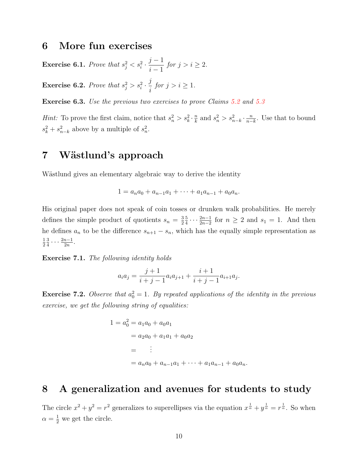#### 6 More fun exercises

<span id="page-9-1"></span>**Exercise 6.1.** Prove that  $s_j^2 < s_i^2 \cdot \frac{j-1}{j-1}$  $i-1$ for  $j > i \geq 2$ .

<span id="page-9-2"></span>**Exercise 6.2.** Prove that  $s_j^2 > s_i^2 \cdot \frac{j}{i}$ i for  $j > i \geq 1$ .

<span id="page-9-3"></span>**Exercise 6.3.** Use the previous two exercises to prove Claims [5.2](#page-7-1) and [5.3](#page-7-2)

*Hint:* To prove the first claim, notice that  $s_n^2 > s_k^2 \cdot \frac{n}{k}$  $\frac{n}{k}$  and  $s_n^2 > s_{n-k}^2 \cdot \frac{n}{n-k}$  $\frac{n}{n-k}$ . Use that to bound  $s_k^2 + s_{n-k}^2$  above by a multiple of  $s_n^2$ .

# 7 Wästlund's approach

Wästlund gives an elementary algebraic way to derive the identity

$$
1 = a_n a_0 + a_{n-1} a_1 + \cdots + a_1 a_{n-1} + a_0 a_n.
$$

His original paper does not speak of coin tosses or drunken walk probabilities. He merely defines the simple product of quotients  $s_n = \frac{3}{2}$ 2 5  $\frac{5}{4} \cdots \frac{2n-1}{2n-2}$  $\frac{2n-1}{2n-2}$  for  $n \geq 2$  and  $s_1 = 1$ . And then he defines  $a_n$  to be the difference  $s_{n+1} - s_n$ , which has the equally simple representation as 1 2 3  $\frac{3}{4} \cdots \frac{2n-1}{2n}$  $\frac{n-1}{2n}$ .

Exercise 7.1. The following identity holds

$$
a_i a_j = \frac{j+1}{i+j-1} a_i a_{j+1} + \frac{i+1}{i+j-1} a_{i+1} a_j.
$$

**Exercise 7.2.** Observe that  $a_0^2 = 1$ . By repeated applications of the identity in the previous exercise, we get the following string of equalities:

$$
1 = a_0^2 = a_1 a_0 + a_0 a_1
$$
  
=  $a_2 a_0 + a_1 a_1 + a_0 a_2$   
=  $\vdots$   
=  $a_n a_0 + a_{n-1} a_1 + \dots + a_1 a_{n-1} + a_0 a_n$ .

### <span id="page-9-0"></span>8 A generalization and avenues for students to study

The circle  $x^2 + y^2 = r^2$  generalizes to superellipses via the equation  $x^{\frac{1}{\alpha}} + y^{\frac{1}{\alpha}} = r^{\frac{1}{\alpha}}$ . So when  $\alpha = \frac{1}{2}$  we get the circle.